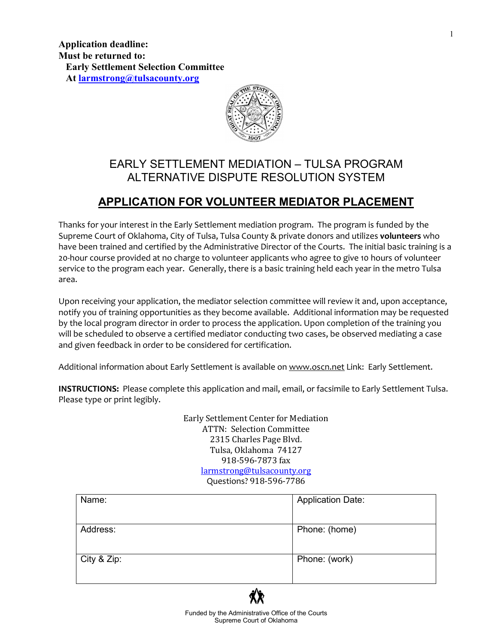

# EARLY SETTLEMENT MEDIATION – TULSA PROGRAM ALTERNATIVE DISPUTE RESOLUTION SYSTEM

# **APPLICATION FOR VOLUNTEER MEDIATOR PLACEMENT**

Thanks for your interest in the Early Settlement mediation program. The program is funded by the Supreme Court of Oklahoma, City of Tulsa, Tulsa County & private donors and utilizes **volunteers** who have been trained and certified by the Administrative Director of the Courts. The initial basic training is a 20-hour course provided at no charge to volunteer applicants who agree to give 10 hours of volunteer service to the program each year. Generally, there is a basic training held each year in the metro Tulsa area.

Upon receiving your application, the mediator selection committee will review it and, upon acceptance, notify you of training opportunities as they become available. Additional information may be requested by the local program director in order to process the application. Upon completion of the training you will be scheduled to observe a certified mediator conducting two cases, be observed mediating a case and given feedback in order to be considered for certification.

Additional information about Early Settlement is available o[n www.oscn.net](http://www.oscn.net/) Link: Early Settlement.

**INSTRUCTIONS:** Please complete this application and mail, email, or facsimile to Early Settlement Tulsa. Please type or print legibly.

> Early Settlement Center for Mediation ATTN: Selection Committee 2315 Charles Page Blvd. Tulsa, Oklahoma 74127 918-596-7873 fax [larmstrong@tulsacounty.org](mailto:larmstrong@tulsacounty.org) Questions? 918-596-7786

| Name:       | <b>Application Date:</b> |
|-------------|--------------------------|
| Address:    | Phone: (home)            |
| City & Zip: | Phone: (work)            |

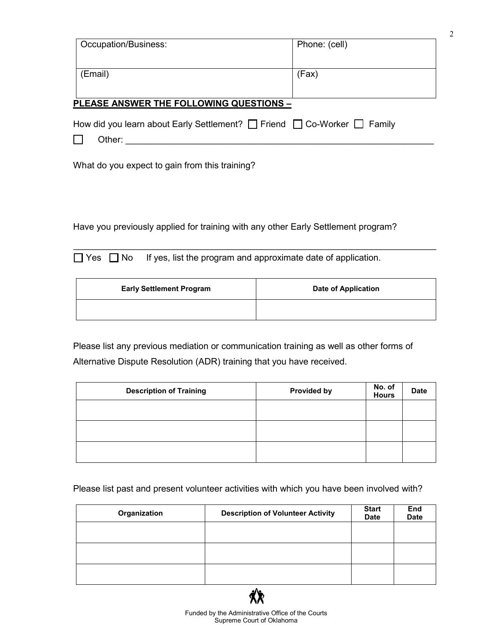| Occupation/Business:                                                                   | Phone: (cell) |
|----------------------------------------------------------------------------------------|---------------|
| (Email)                                                                                | (Fax)         |
| <b>PLEASE ANSWER THE FOLLOWING QUESTIONS -</b>                                         |               |
| How did you learn about Early Settlement? $\Box$ Friend $\Box$ Co-Worker $\Box$ Family |               |
| Other:                                                                                 |               |
| What do you expect to gain from this training?                                         |               |

2

Have you previously applied for training with any other Early Settlement program?

 $\Box$  Yes  $\Box$  No If yes, list the program and approximate date of application.

| <b>Early Settlement Program</b> | <b>Date of Application</b> |
|---------------------------------|----------------------------|
|                                 |                            |

 $\_$  , and the set of the set of the set of the set of the set of the set of the set of the set of the set of the set of the set of the set of the set of the set of the set of the set of the set of the set of the set of th

Please list any previous mediation or communication training as well as other forms of Alternative Dispute Resolution (ADR) training that you have received.

| <b>Description of Training</b> | <b>Provided by</b> | No. of<br><b>Hours</b> | <b>Date</b> |
|--------------------------------|--------------------|------------------------|-------------|
|                                |                    |                        |             |
|                                |                    |                        |             |
|                                |                    |                        |             |

Please list past and present volunteer activities with which you have been involved with?

| Organization | <b>Description of Volunteer Activity</b> | <b>Start</b><br><b>Date</b> | End<br><b>Date</b> |
|--------------|------------------------------------------|-----------------------------|--------------------|
|              |                                          |                             |                    |
|              |                                          |                             |                    |
|              |                                          |                             |                    |

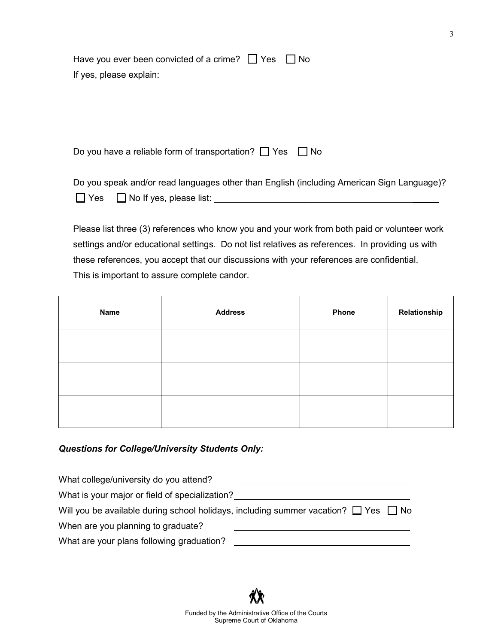| Have you ever been convicted of a crime? $\Box$ Yes $\Box$ No |  |
|---------------------------------------------------------------|--|
| If yes, please explain:                                       |  |

Do you have a reliable form of transportation?  $\Box$  Yes  $\Box$  No

Do you speak and/or read languages other than English (including American Sign Language)?  $\Box$  Yes  $\Box$  No If yes, please list:

Please list three (3) references who know you and your work from both paid or volunteer work settings and/or educational settings. Do not list relatives as references. In providing us with these references, you accept that our discussions with your references are confidential. This is important to assure complete candor.

| <b>Name</b> | <b>Address</b> | <b>Phone</b> | Relationship |
|-------------|----------------|--------------|--------------|
|             |                |              |              |
|             |                |              |              |
|             |                |              |              |

### *Questions for College/University Students Only:*

| What college/university do you attend?                                                        |  |
|-----------------------------------------------------------------------------------------------|--|
| What is your major or field of specialization?                                                |  |
| Will you be available during school holidays, including summer vacation? $\Box$ Yes $\Box$ No |  |
| When are you planning to graduate?                                                            |  |
| What are your plans following graduation?                                                     |  |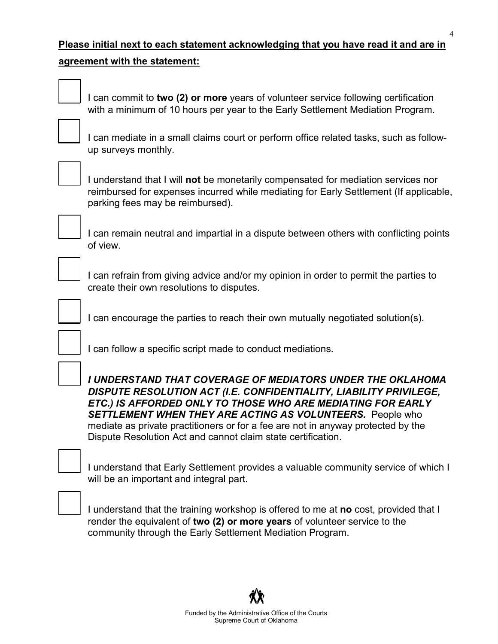## **Please initial next to each statement acknowledging that you have read it and are in**

#### **agreement with the statement:**

\_\_\_ I can commit to **two (2) or more** years of volunteer service following certification with a minimum of 10 hours per year to the Early Settlement Mediation Program.



I can mediate in a small claims court or perform office related tasks, such as followup surveys monthly.



\_\_\_ I understand that I will **not** be monetarily compensated for mediation services nor reimbursed for expenses incurred while mediating for Early Settlement (If applicable, parking fees may be reimbursed).



I can remain neutral and impartial in a dispute between others with conflicting points of view.

I can refrain from giving advice and/or my opinion in order to permit the parties to create their own resolutions to disputes.

I can encourage the parties to reach their own mutually negotiated solution(s).



I can follow a specific script made to conduct mediations.

\_\_\_ *I UNDERSTAND THAT COVERAGE OF MEDIATORS UNDER THE OKLAHOMA DISPUTE RESOLUTION ACT (I.E. CONFIDENTIALITY, LIABILITY PRIVILEGE, ETC.) IS AFFORDED ONLY TO THOSE WHO ARE MEDIATING FOR EARLY SETTLEMENT WHEN THEY ARE ACTING AS VOLUNTEERS.* People who mediate as private practitioners or for a fee are not in anyway protected by the Dispute Resolution Act and cannot claim state certification.

I understand that Early Settlement provides a valuable community service of which I will be an important and integral part.



\_\_\_ I understand that the training workshop is offered to me at **no** cost, provided that I render the equivalent of **two (2) or more years** of volunteer service to the community through the Early Settlement Mediation Program.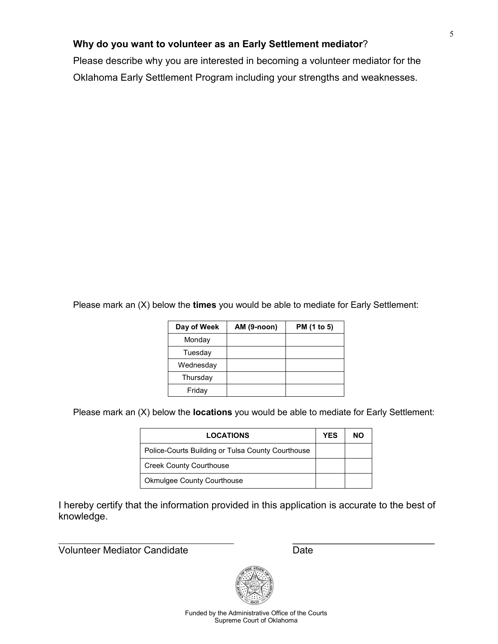## **Why do you want to volunteer as an Early Settlement mediator**?

Please describe why you are interested in becoming a volunteer mediator for the Oklahoma Early Settlement Program including your strengths and weaknesses.

Please mark an (X) below the **times** you would be able to mediate for Early Settlement:

| Day of Week | AM (9-noon) | PM (1 to 5) |
|-------------|-------------|-------------|
| Monday      |             |             |
| Tuesday     |             |             |
| Wednesday   |             |             |
| Thursday    |             |             |
| Friday      |             |             |

Please mark an (X) below the **locations** you would be able to mediate for Early Settlement:

| <b>LOCATIONS</b>                                  | <b>YES</b> | NΟ |
|---------------------------------------------------|------------|----|
| Police-Courts Building or Tulsa County Courthouse |            |    |
| <b>Creek County Courthouse</b>                    |            |    |
| <b>Okmulgee County Courthouse</b>                 |            |    |

I hereby certify that the information provided in this application is accurate to the best of knowledge.

Volunteer Mediator Candidate

Date

\_\_\_\_\_\_\_\_\_\_\_\_\_\_\_\_\_\_\_\_\_\_\_\_\_\_



Funded by the Administrative Office of the Courts Supreme Court of Oklahoma